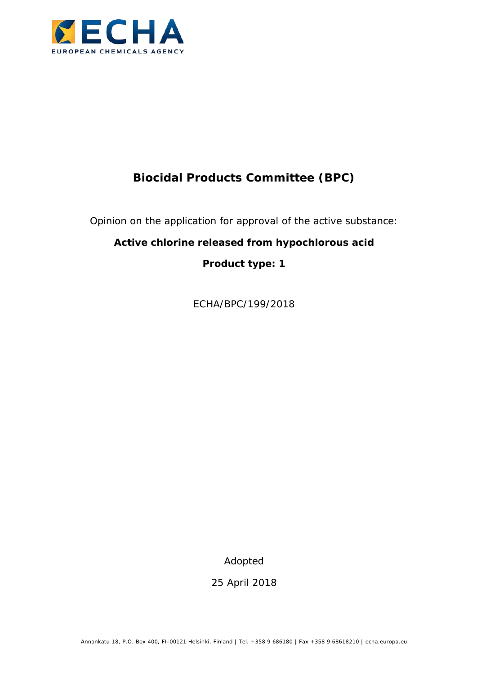

# **Biocidal Products Committee (BPC)**

Opinion on the application for approval of the active substance:

## **Active chlorine released from hypochlorous acid**

**Product type: 1**

ECHA/BPC/199/2018

Adopted

25 April 2018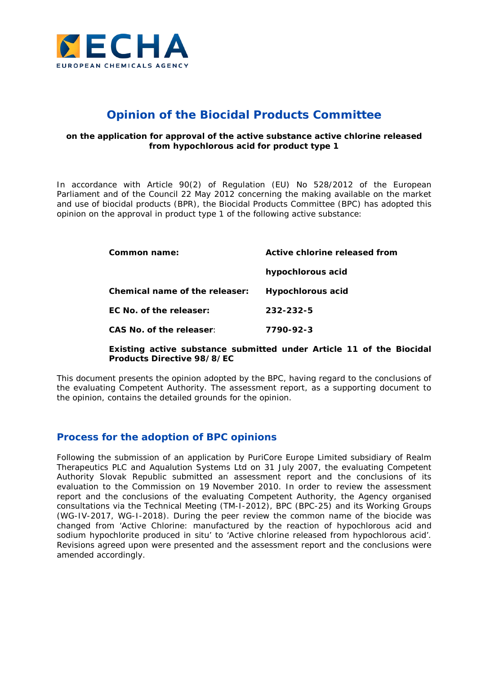

## **Opinion of the Biocidal Products Committee**

#### **on the application for approval of the active substance active chlorine released from hypochlorous acid for product type 1**

In accordance with Article 90(2) of Regulation (EU) No 528/2012 of the European Parliament and of the Council 22 May 2012 concerning the making available on the market and use of biocidal products (BPR), the Biocidal Products Committee (BPC) has adopted this opinion on the approval in product type 1 of the following active substance:

| Common name:                   | Active chlorine released from |  |
|--------------------------------|-------------------------------|--|
|                                | hypochlorous acid             |  |
| Chemical name of the releaser: | <b>Hypochlorous acid</b>      |  |
| FC No. of the releaser:        | 232-232-5                     |  |
| CAS No. of the releaser:       | 7790-92-3                     |  |
|                                |                               |  |

#### **Existing active substance submitted under Article 11 of the Biocidal Products Directive 98/8/EC**

This document presents the opinion adopted by the BPC, having regard to the conclusions of the evaluating Competent Authority. The assessment report, as a supporting document to the opinion, contains the detailed grounds for the opinion.

### **Process for the adoption of BPC opinions**

Following the submission of an application by PuriCore Europe Limited subsidiary of Realm Therapeutics PLC and Aqualution Systems Ltd on 31 July 2007, the evaluating Competent Authority Slovak Republic submitted an assessment report and the conclusions of its evaluation to the Commission on 19 November 2010. In order to review the assessment report and the conclusions of the evaluating Competent Authority, the Agency organised consultations via the Technical Meeting (TM-I-2012), BPC (BPC-25) and its Working Groups (WG-IV-2017, WG-I-2018). During the peer review the common name of the biocide was changed from 'Active Chlorine: manufactured by the reaction of hypochlorous acid and sodium hypochlorite produced *in situ*' to 'Active chlorine released from hypochlorous acid'. Revisions agreed upon were presented and the assessment report and the conclusions were amended accordingly.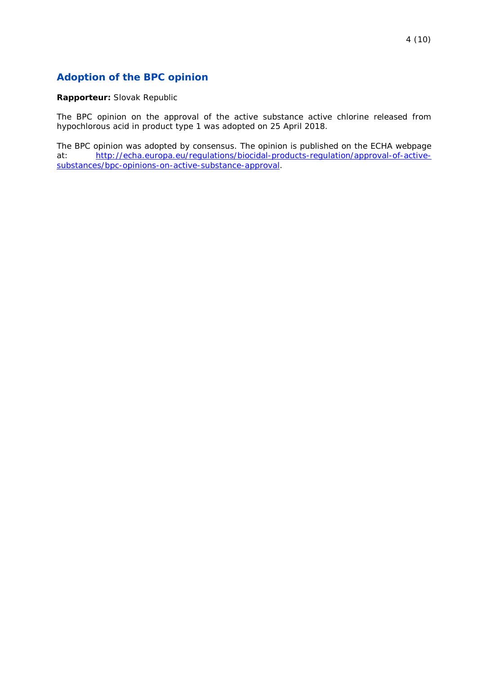## **Adoption of the BPC opinion**

#### **Rapporteur:** Slovak Republic

The BPC opinion on the approval of the active substance active chlorine released from hypochlorous acid in product type 1 was adopted on 25 April 2018.

The BPC opinion was adopted by consensus. The opinion is published on the ECHA webpage<br>at: http://echa.europa.eu/regulations/biocidal-products-regulation/approval-of-active[http://echa.europa.eu/regulations/biocidal-products-regulation/approval-of-active](http://echa.europa.eu/regulations/biocidal-products-regulation/approval-of-active-substances/bpc-opinions-on-active-substance-approval)[substances/bpc-opinions-on-active-substance-approval.](http://echa.europa.eu/regulations/biocidal-products-regulation/approval-of-active-substances/bpc-opinions-on-active-substance-approval)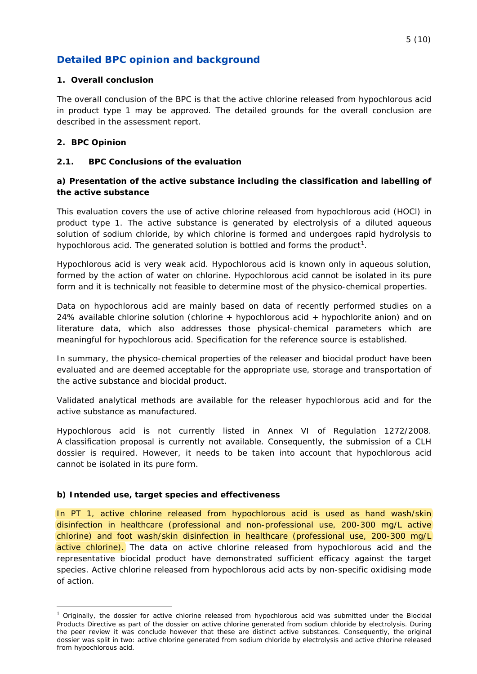## **Detailed BPC opinion and background**

#### **1. Overall conclusion**

The overall conclusion of the BPC is that the active chlorine released from hypochlorous acid in product type 1 may be approved. The detailed grounds for the overall conclusion are described in the assessment report.

#### **2. BPC Opinion**

-

#### **2.1. BPC Conclusions of the evaluation**

#### **a) Presentation of the active substance including the classification and labelling of the active substance**

This evaluation covers the use of active chlorine released from hypochlorous acid (HOCl) in product type 1. The active substance is generated by electrolysis of a diluted aqueous solution of sodium chloride, by which chlorine is formed and undergoes rapid hydrolysis to hypochlorous acid. The generated solution is bottled and forms the product<sup>1</sup>.

Hypochlorous acid is very weak acid. Hypochlorous acid is known only in aqueous solution, formed by the action of water on chlorine. Hypochlorous acid cannot be isolated in its pure form and it is technically not feasible to determine most of the physico-chemical properties.

Data on hypochlorous acid are mainly based on data of recently performed studies on a 24% available chlorine solution (chlorine + hypochlorous acid + hypochlorite anion) and on literature data, which also addresses those physical-chemical parameters which are meaningful for hypochlorous acid. Specification for the reference source is established.

In summary, the physico-chemical properties of the releaser and biocidal product have been evaluated and are deemed acceptable for the appropriate use, storage and transportation of the active substance and biocidal product.

Validated analytical methods are available for the releaser hypochlorous acid and for the active substance as manufactured.

Hypochlorous acid is not currently listed in Annex VI of Regulation 1272/2008. A classification proposal is currently not available. Consequently, the submission of a CLH dossier is required. However, it needs to be taken into account that hypochlorous acid cannot be isolated in its pure form.

#### **b) Intended use, target species and effectiveness**

In PT 1, active chlorine released from hypochlorous acid is used as hand wash/skin disinfection in healthcare (professional and non-professional use, 200-300 mg/L active chlorine) and foot wash/skin disinfection in healthcare (professional use, 200-300 mg/L active chlorine). The data on active chlorine released from hypochlorous acid and the representative biocidal product have demonstrated sufficient efficacy against the target species. Active chlorine released from hypochlorous acid acts by non-specific oxidising mode of action.

<span id="page-4-0"></span><sup>&</sup>lt;sup>1</sup> Originally, the dossier for active chlorine released from hypochlorous acid was submitted under the Biocidal Products Directive as part of the dossier on active chlorine generated from sodium chloride by electrolysis. During the peer review it was conclude however that these are distinct active substances. Consequently, the original dossier was split in two: active chlorine generated from sodium chloride by electrolysis and active chlorine released from hypochlorous acid.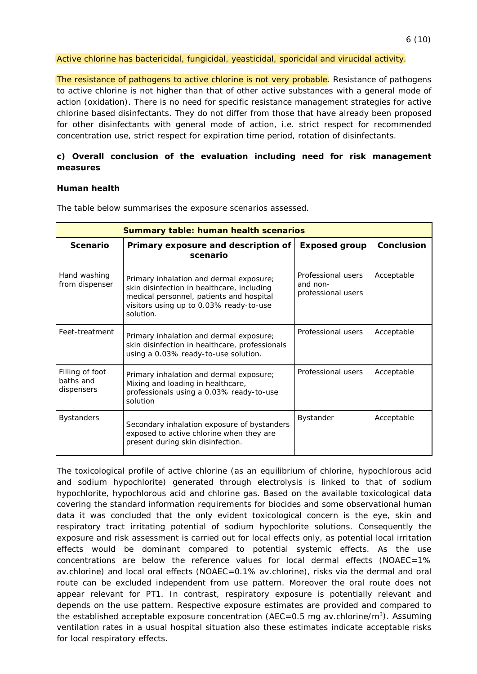The resistance of pathogens to active chlorine is not very probable. Resistance of pathogens to active chlorine is not higher than that of other active substances with a general mode of action (oxidation). There is no need for specific resistance management strategies for active chlorine based disinfectants. They do not differ from those that have already been proposed for other disinfectants with general mode of action, i.e. strict respect for recommended concentration use, strict respect for expiration time period, rotation of disinfectants.

#### **c) Overall conclusion of the evaluation including need for risk management measures**

#### **Human health**

| <b>Summary table: human health scenarios</b> |                                                                                                                                                                                           |                                                      |            |
|----------------------------------------------|-------------------------------------------------------------------------------------------------------------------------------------------------------------------------------------------|------------------------------------------------------|------------|
| <b>Scenario</b>                              | Primary exposure and description of<br>scenario                                                                                                                                           | <b>Exposed group</b>                                 | Conclusion |
| Hand washing<br>from dispenser               | Primary inhalation and dermal exposure;<br>skin disinfection in healthcare, including<br>medical personnel, patients and hospital<br>visitors using up to 0.03% ready-to-use<br>solution. | Professional users<br>and non-<br>professional users | Acceptable |
| Feet-treatment                               | Primary inhalation and dermal exposure;<br>skin disinfection in healthcare, professionals<br>using a 0.03% ready-to-use solution.                                                         | Professional users                                   | Acceptable |
| Filling of foot<br>baths and<br>dispensers   | Primary inhalation and dermal exposure;<br>Mixing and loading in healthcare,<br>professionals using a 0.03% ready-to-use<br>solution                                                      | Professional users                                   | Acceptable |
| <b>Bystanders</b>                            | Secondary inhalation exposure of bystanders<br>exposed to active chlorine when they are<br>present during skin disinfection.                                                              | <b>Bystander</b>                                     | Acceptable |

The table below summarises the exposure scenarios assessed.

The toxicological profile of active chlorine (as an equilibrium of chlorine, hypochlorous acid and sodium hypochlorite) generated through electrolysis is linked to that of sodium hypochlorite, hypochlorous acid and chlorine gas. Based on the available toxicological data covering the standard information requirements for biocides and some observational human data it was concluded that the only evident toxicological concern is the eye, skin and respiratory tract irritating potential of sodium hypochlorite solutions. Consequently the exposure and risk assessment is carried out for local effects only, as potential local irritation effects would be dominant compared to potential systemic effects. As the use concentrations are below the reference values for local dermal effects (NOAEC=1% av.chlorine) and local oral effects (NOAEC=0.1% av.chlorine), risks via the dermal and oral route can be excluded independent from use pattern. Moreover the oral route does not appear relevant for PT1. In contrast, respiratory exposure is potentially relevant and depends on the use pattern. Respective exposure estimates are provided and compared to the established acceptable exposure concentration (AEC=0.5 mg av.chlorine/m<sup>3</sup>). Assuming ventilation rates in a usual hospital situation also these estimates indicate acceptable risks for local respiratory effects.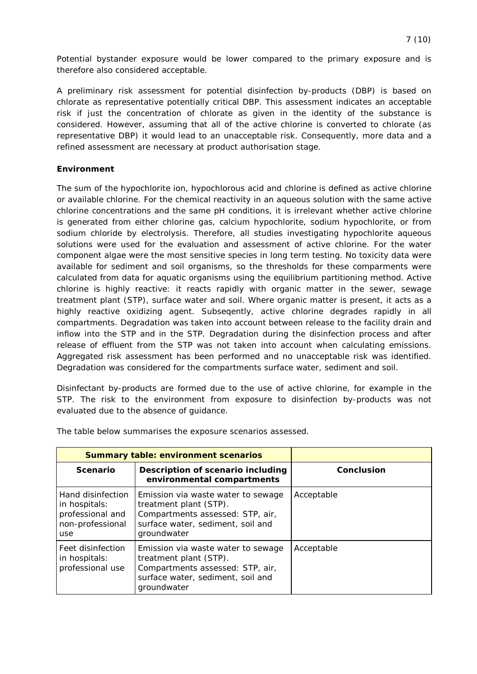Potential bystander exposure would be lower compared to the primary exposure and is therefore also considered acceptable.

A preliminary risk assessment for potential disinfection by-products (DBP) is based on chlorate as representative potentially critical DBP. This assessment indicates an acceptable risk if just the concentration of chlorate as given in the identity of the substance is considered. However, assuming that all of the active chlorine is converted to chlorate (as representative DBP) it would lead to an unacceptable risk. Consequently, more data and a refined assessment are necessary at product authorisation stage.

#### **Environment**

The sum of the hypochlorite ion, hypochlorous acid and chlorine is defined as active chlorine or available chlorine. For the chemical reactivity in an aqueous solution with the same active chlorine concentrations and the same pH conditions, it is irrelevant whether active chlorine is generated from either chlorine gas, calcium hypochlorite, sodium hypochlorite, or from sodium chloride by electrolysis. Therefore, all studies investigating hypochlorite aqueous solutions were used for the evaluation and assessment of active chlorine. For the water component algae were the most sensitive species in long term testing. No toxicity data were available for sediment and soil organisms, so the thresholds for these comparments were calculated from data for aquatic organisms using the equilibrium partitioning method. Active chlorine is highly reactive: it reacts rapidly with organic matter in the sewer, sewage treatment plant (STP), surface water and soil. Where organic matter is present, it acts as a highly reactive oxidizing agent. Subseqently, active chlorine degrades rapidly in all compartments. Degradation was taken into account between release to the facility drain and inflow into the STP and in the STP. Degradation during the disinfection process and after release of effluent from the STP was not taken into account when calculating emissions. Aggregated risk assessment has been performed and no unacceptable risk was identified. Degradation was considered for the compartments surface water, sediment and soil.

Disinfectant by-products are formed due to the use of active chlorine, for example in the STP. The risk to the environment from exposure to disinfection by-products was not evaluated due to the absence of guidance.

| <b>Summary table: environment scenarios</b>                                       |                                                                                                                                                      |            |
|-----------------------------------------------------------------------------------|------------------------------------------------------------------------------------------------------------------------------------------------------|------------|
| <b>Scenario</b>                                                                   | Description of scenario including<br>environmental compartments                                                                                      | Conclusion |
| Hand disinfection<br>in hospitals:<br>professional and<br>non-professional<br>use | Emission via waste water to sewage<br>treatment plant (STP).<br>Compartments assessed: STP, air,<br>surface water, sediment, soil and<br>groundwater | Acceptable |
| Feet disinfection<br>in hospitals:<br>professional use                            | Emission via waste water to sewage<br>treatment plant (STP).<br>Compartments assessed: STP, air,<br>surface water, sediment, soil and<br>groundwater | Acceptable |

The table below summarises the exposure scenarios assessed.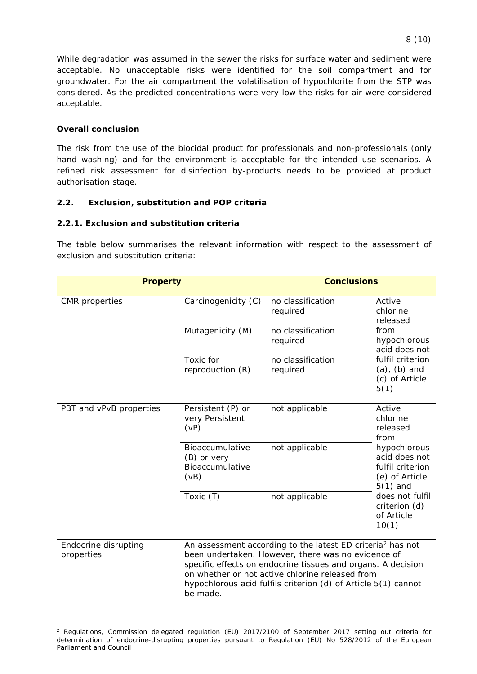While degradation was assumed in the sewer the risks for surface water and sediment were acceptable. No unacceptable risks were identified for the soil compartment and for groundwater. For the air compartment the volatilisation of hypochlorite from the STP was considered. As the predicted concentrations were very low the risks for air were considered acceptable.

#### **Overall conclusion**

The risk from the use of the biocidal product for professionals and non-professionals (only hand washing) and for the environment is acceptable for the intended use scenarios. A refined risk assessment for disinfection by-products needs to be provided at product authorisation stage.

#### **2.2. Exclusion, substitution and POP criteria**

#### **2.2.1. Exclusion and substitution criteria**

The table below summarises the relevant information with respect to the assessment of exclusion and substitution criteria:

| <b>Property</b>                         |                                                                                                                                                                                                                                                                                                                               | <b>Conclusions</b>            |                                                                                                          |
|-----------------------------------------|-------------------------------------------------------------------------------------------------------------------------------------------------------------------------------------------------------------------------------------------------------------------------------------------------------------------------------|-------------------------------|----------------------------------------------------------------------------------------------------------|
| <b>CMR</b> properties                   | Carcinogenicity (C)                                                                                                                                                                                                                                                                                                           | no classification<br>required | Active<br>chlorine<br>released                                                                           |
|                                         | Mutagenicity (M)                                                                                                                                                                                                                                                                                                              | no classification<br>required | from<br>hypochlorous<br>acid does not<br>fulfil criterion<br>$(a)$ , $(b)$ and<br>(c) of Article<br>5(1) |
|                                         | Toxic for<br>reproduction (R)                                                                                                                                                                                                                                                                                                 | no classification<br>required |                                                                                                          |
| PBT and vPvB properties<br>(vP)<br>(vB) | Persistent (P) or<br>very Persistent                                                                                                                                                                                                                                                                                          | not applicable                | Active<br>chlorine<br>released<br>from                                                                   |
|                                         | Bioaccumulative<br>(B) or very<br>Bioaccumulative                                                                                                                                                                                                                                                                             | not applicable                | hypochlorous<br>acid does not<br>fulfil criterion<br>(e) of Article<br>$5(1)$ and                        |
|                                         | Toxic (T)                                                                                                                                                                                                                                                                                                                     | not applicable                | does not fulfil<br>criterion (d)<br>of Article<br>10(1)                                                  |
| Endocrine disrupting<br>properties      | An assessment according to the latest ED criteria <sup>2</sup> has not<br>been undertaken. However, there was no evidence of<br>specific effects on endocrine tissues and organs. A decision<br>on whether or not active chlorine released from<br>hypochlorous acid fulfils criterion (d) of Article 5(1) cannot<br>be made. |                               |                                                                                                          |

<span id="page-7-0"></span> <sup>2</sup> Regulations, Commission delegated regulation (EU) 2017/2100 of September 2017 setting out criteria for determination of endocrine-disrupting properties pursuant to Regulation (EU) No 528/2012 of the European Parliament and Council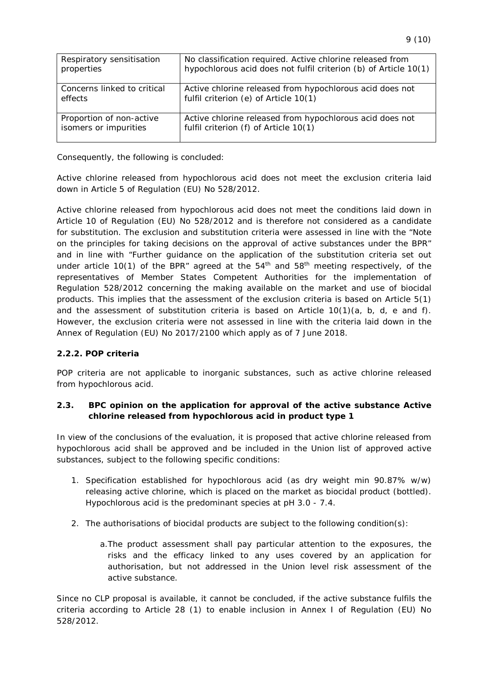| Respiratory sensitisation   | No classification required. Active chlorine released from        |
|-----------------------------|------------------------------------------------------------------|
| properties                  | hypochlorous acid does not fulfil criterion (b) of Article 10(1) |
| Concerns linked to critical | Active chlorine released from hypochlorous acid does not         |
| effects                     | fulfil criterion (e) of Article 10(1)                            |
| Proportion of non-active    | Active chlorine released from hypochlorous acid does not         |
| isomers or impurities       | fulfil criterion (f) of Article 10(1)                            |

Consequently, the following is concluded:

Active chlorine released from hypochlorous acid does not meet the exclusion criteria laid down in Article 5 of Regulation (EU) No 528/2012.

Active chlorine released from hypochlorous acid does not meet the conditions laid down in Article 10 of Regulation (EU) No 528/2012 and is therefore not considered as a candidate for substitution. The exclusion and substitution criteria were assessed in line with the "Note on the principles for taking decisions on the approval of active substances under the BPR" and in line with "Further guidance on the application of the substitution criteria set out under article 10(1) of the BPR" agreed at the  $54<sup>th</sup>$  and  $58<sup>th</sup>$  meeting respectively, of the representatives of Member States Competent Authorities for the implementation of Regulation 528/2012 concerning the making available on the market and use of biocidal products. This implies that the assessment of the exclusion criteria is based on Article 5(1) and the assessment of substitution criteria is based on Article  $10(1)(a, b, d, e$  and f). However, the exclusion criteria were not assessed in line with the criteria laid down in the Annex of Regulation (EU) No 2017/2100 which apply as of 7 June 2018.

#### **2.2.2. POP criteria**

POP criteria are not applicable to inorganic substances, such as active chlorine released from hypochlorous acid.

#### **2.3. BPC opinion on the application for approval of the active substance Active chlorine released from hypochlorous acid in product type 1**

In view of the conclusions of the evaluation, it is proposed that active chlorine released from hypochlorous acid shall be approved and be included in the Union list of approved active substances, subject to the following specific conditions:

- 1. Specification established for hypochlorous acid (as dry weight min 90.87% w/w) releasing active chlorine, which is placed on the market as biocidal product (bottled). Hypochlorous acid is the predominant species at pH 3.0 - 7.4.
- 2. The authorisations of biocidal products are subject to the following condition(s):
	- a.The product assessment shall pay particular attention to the exposures, the risks and the efficacy linked to any uses covered by an application for authorisation, but not addressed in the Union level risk assessment of the active substance.

Since no CLP proposal is available, it cannot be concluded, if the active substance fulfils the criteria according to Article 28 (1) to enable inclusion in Annex I of Regulation (EU) No 528/2012.